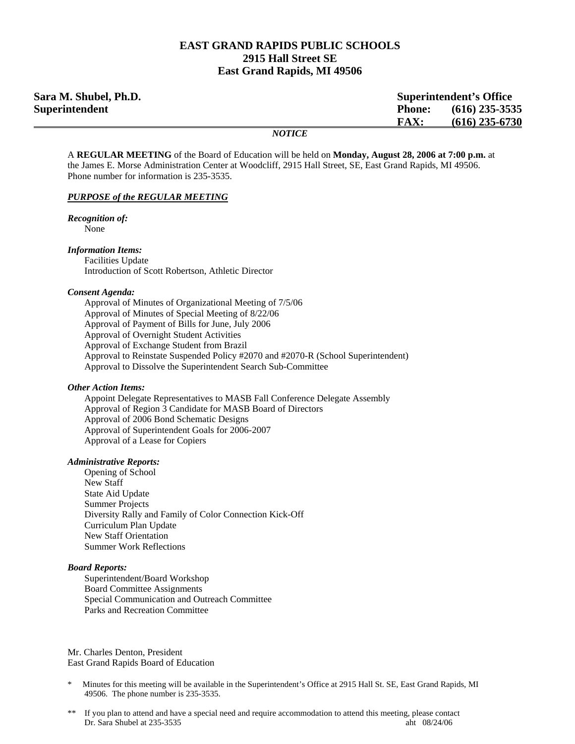### **EAST GRAND RAPIDS PUBLIC SCHOOLS 2915 Hall Street SE East Grand Rapids, MI 49506**

| Sara M. Shubel, Ph.D.<br><b>Superintendent's Office</b> |               |                  |
|---------------------------------------------------------|---------------|------------------|
| <b>Superintendent</b>                                   | <b>Phone:</b> | $(616)$ 235-3535 |
|                                                         | <b>FAX:</b>   | $(616)$ 235-6730 |
|                                                         | <b>NOTICE</b> |                  |

A **REGULAR MEETING** of the Board of Education will be held on **Monday, August 28, 2006 at 7:00 p.m.** at the James E. Morse Administration Center at Woodcliff, 2915 Hall Street, SE, East Grand Rapids, MI 49506. Phone number for information is 235-3535.

#### *PURPOSE of the REGULAR MEETING*

*Recognition of:*  None

#### *Information Items:*

 Facilities Update Introduction of Scott Robertson, Athletic Director

#### *Consent Agenda:*

 Approval of Minutes of Organizational Meeting of 7/5/06 Approval of Minutes of Special Meeting of 8/22/06 Approval of Payment of Bills for June, July 2006 Approval of Overnight Student Activities Approval of Exchange Student from Brazil Approval to Reinstate Suspended Policy #2070 and #2070-R (School Superintendent) Approval to Dissolve the Superintendent Search Sub-Committee

#### *Other Action Items:*

 Appoint Delegate Representatives to MASB Fall Conference Delegate Assembly Approval of Region 3 Candidate for MASB Board of Directors Approval of 2006 Bond Schematic Designs Approval of Superintendent Goals for 2006-2007 Approval of a Lease for Copiers

#### *Administrative Reports:*

Opening of School New Staff State Aid Update Summer Projects Diversity Rally and Family of Color Connection Kick-Off Curriculum Plan Update New Staff Orientation Summer Work Reflections

#### *Board Reports:*

Superintendent/Board Workshop Board Committee Assignments Special Communication and Outreach Committee Parks and Recreation Committee

Mr. Charles Denton, President East Grand Rapids Board of Education

- Minutes for this meeting will be available in the Superintendent's Office at 2915 Hall St. SE, East Grand Rapids, MI 49506. The phone number is 235-3535.
- If you plan to attend and have a special need and require accommodation to attend this meeting, please contact Dr. Sara Shubel at 235-3535 aht 08/24/06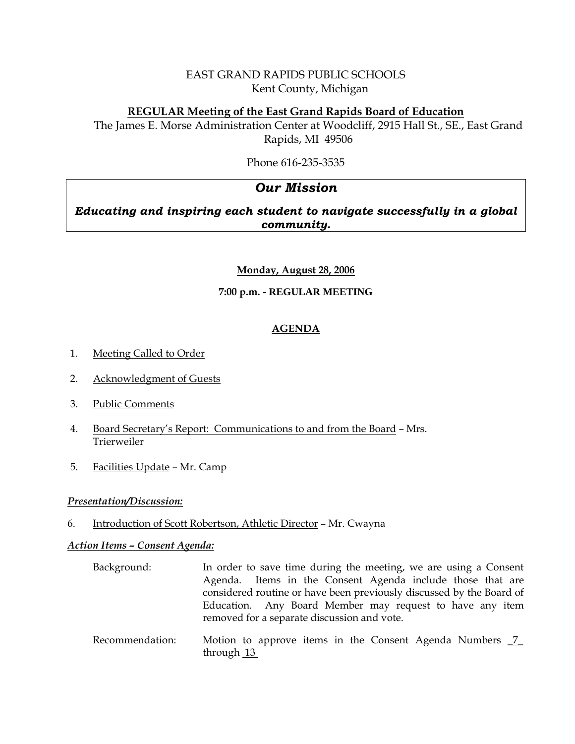# EAST GRAND RAPIDS PUBLIC SCHOOLS Kent County, Michigan

# **REGULAR Meeting of the East Grand Rapids Board of Education**

The James E. Morse Administration Center at Woodcliff, 2915 Hall St., SE., East Grand Rapids, MI 49506

Phone 616-235-3535

# *Our Mission*

# *Educating and inspiring each student to navigate successfully in a global community.*

# **Monday, August 28, 2006**

# **7:00 p.m. - REGULAR MEETING**

# **AGENDA**

- 1. Meeting Called to Order
- 2. Acknowledgment of Guests
- 3. Public Comments
- 4. Board Secretary's Report: Communications to and from the Board Mrs. Trierweiler
- 5. Facilities Update Mr. Camp

# *Presentation/Discussion:*

6. Introduction of Scott Robertson, Athletic Director – Mr. Cwayna

# *Action Items – Consent Agenda:*

- Background: In order to save time during the meeting, we are using a Consent Agenda. Items in the Consent Agenda include those that are considered routine or have been previously discussed by the Board of Education. Any Board Member may request to have any item removed for a separate discussion and vote.
- Recommendation: Motion to approve items in the Consent Agenda Numbers  $2$ through 13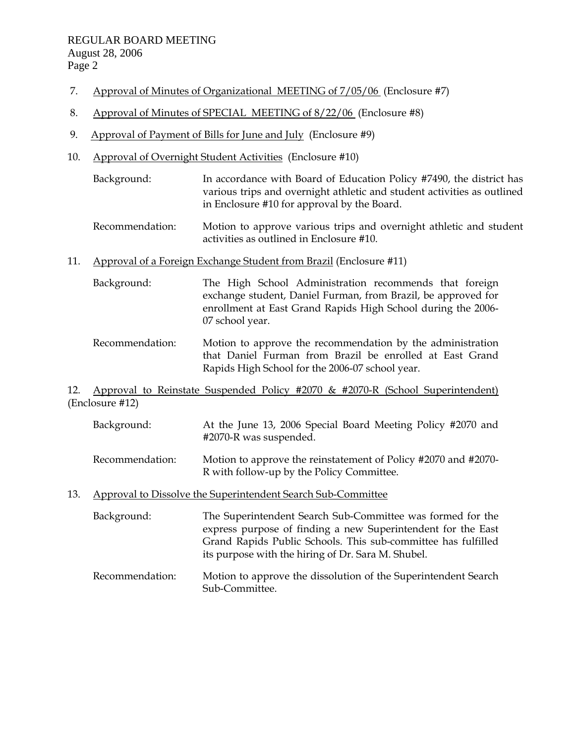- 7. Approval of Minutes of Organizational MEETING of 7/05/06 (Enclosure #7)
- 8. Approval of Minutes of SPECIAL MEETING of 8/22/06 (Enclosure #8)
- 9. Approval of Payment of Bills for June and July (Enclosure #9)
- 10. Approval of Overnight Student Activities (Enclosure #10)
	- Background: In accordance with Board of Education Policy #7490, the district has various trips and overnight athletic and student activities as outlined in Enclosure #10 for approval by the Board.
	- Recommendation: Motion to approve various trips and overnight athletic and student activities as outlined in Enclosure #10.
- 11. Approval of a Foreign Exchange Student from Brazil (Enclosure #11)
	- Background: The High School Administration recommends that foreign exchange student, Daniel Furman, from Brazil, be approved for enrollment at East Grand Rapids High School during the 2006- 07 school year.
	- Recommendation: Motion to approve the recommendation by the administration that Daniel Furman from Brazil be enrolled at East Grand Rapids High School for the 2006-07 school year.

# 12. Approval to Reinstate Suspended Policy #2070 & #2070-R (School Superintendent) (Enclosure #12)

- Background: At the June 13, 2006 Special Board Meeting Policy #2070 and #2070-R was suspended.
- Recommendation: Motion to approve the reinstatement of Policy #2070 and #2070- R with follow-up by the Policy Committee.
- 13. Approval to Dissolve the Superintendent Search Sub-Committee
	- Background: The Superintendent Search Sub-Committee was formed for the express purpose of finding a new Superintendent for the East Grand Rapids Public Schools. This sub-committee has fulfilled its purpose with the hiring of Dr. Sara M. Shubel.
	- Recommendation: Motion to approve the dissolution of the Superintendent Search Sub-Committee.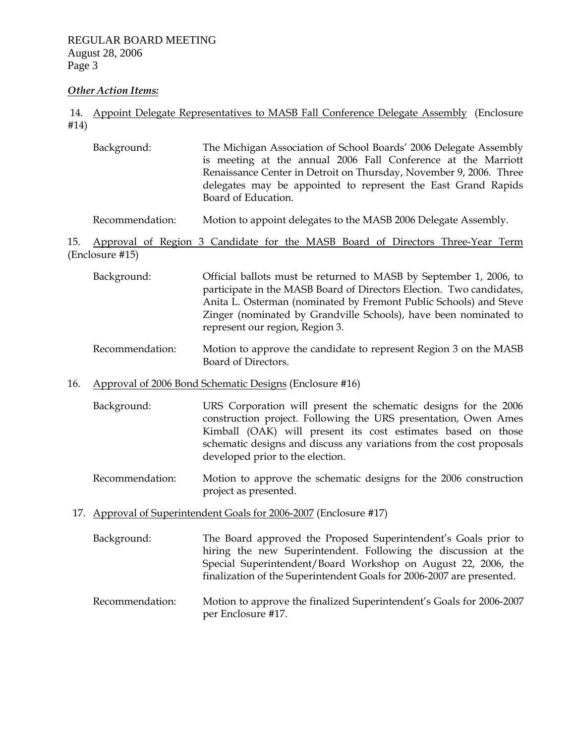### *Other Action Items:*

# 14. Appoint Delegate Representatives to MASB Fall Conference Delegate Assembly (Enclosure #14)

Background: The Michigan Association of School Boards' 2006 Delegate Assembly is meeting at the annual 2006 Fall Conference at the Marriott Renaissance Center in Detroit on Thursday, November 9, 2006. Three delegates may be appointed to represent the East Grand Rapids Board of Education.

# Recommendation: Motion to appoint delegates to the MASB 2006 Delegate Assembly.

15. Approval of Region 3 Candidate for the MASB Board of Directors Three-Year Term (Enclosure #15)

- Background: Official ballots must be returned to MASB by September 1, 2006, to participate in the MASB Board of Directors Election. Two candidates, Anita L. Osterman (nominated by Fremont Public Schools) and Steve Zinger (nominated by Grandville Schools), have been nominated to represent our region, Region 3.
- Recommendation: Motion to approve the candidate to represent Region 3 on the MASB Board of Directors.

### 16. Approval of 2006 Bond Schematic Designs (Enclosure #16)

- Background: URS Corporation will present the schematic designs for the 2006 construction project. Following the URS presentation, Owen Ames Kimball (OAK) will present its cost estimates based on those schematic designs and discuss any variations from the cost proposals developed prior to the election.
- Recommendation: Motion to approve the schematic designs for the 2006 construction project as presented.
- 17. Approval of Superintendent Goals for 2006-2007 (Enclosure #17)
	- Background: The Board approved the Proposed Superintendent's Goals prior to hiring the new Superintendent. Following the discussion at the Special Superintendent/Board Workshop on August 22, 2006, the finalization of the Superintendent Goals for 2006-2007 are presented.
	- Recommendation: Motion to approve the finalized Superintendent's Goals for 2006-2007 per Enclosure #17.